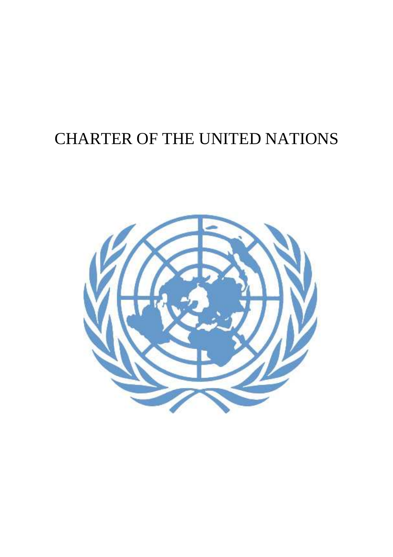# CHARTER OF THE UNITED NATIONS

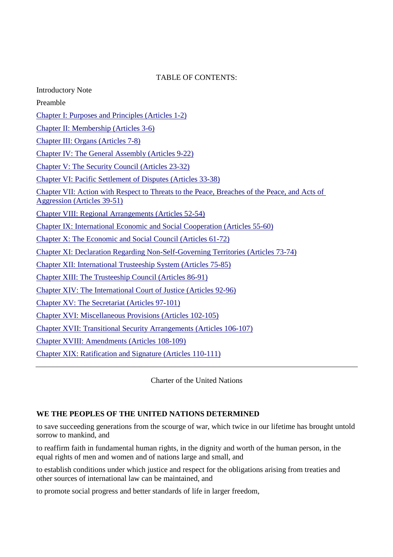# TABLE OF CONTENTS:

Introductory Note Preamble Chapter I: Purposes and Principles (Articles 1-2) Chapter II: Membership (Articles 3-6) Chapter III: Organs (Articles 7-8) Chapter IV: The General Assembly (Articles 9-22) Chapter V: The Security Council (Articles 23-32) Chapter VI: Pacific Settlement of Disputes (Articles 33-38) Chapter VII: Action with Respect to Threats to the Peace, Breaches of the Peace, and Acts of Aggression (Articles 39-51) Chapter VIII: Regional Arrangements (Articles 52-54) Chapter IX: International Economic and Social Cooperation (Articles 55-60) Chapter X: The Economic and Social Council (Articles 61-72) Chapter XI: Declaration Regarding Non-Self-Governing Territories (Articles 73-74) Chapter XII: International Trusteeship System (Articles 75-85) Chapter XIII: The Trusteeship Council (Articles 86-91) Chapter XIV: The International Court of Justice (Articles 92-96) Chapter XV: The Secretariat (Articles 97-101) Chapter XVI: Miscellaneous Provisions (Articles 102-105) Chapter XVII: Transitional Security Arrangements (Articles 106-107) Chapter XVIII: Amendments (Articles 108-109) Chapter XIX: Ratification and Signature (Articles 110-111)

Charter of the United Nations

# **WE THE PEOPLES OF THE UNITED NATIONS DETERMINED**

to save succeeding generations from the scourge of war, which twice in our lifetime has brought untold sorrow to mankind, and

to reaffirm faith in fundamental human rights, in the dignity and worth of the human person, in the equal rights of men and women and of nations large and small, and

to establish conditions under which justice and respect for the obligations arising from treaties and other sources of international law can be maintained, and

to promote social progress and better standards of life in larger freedom,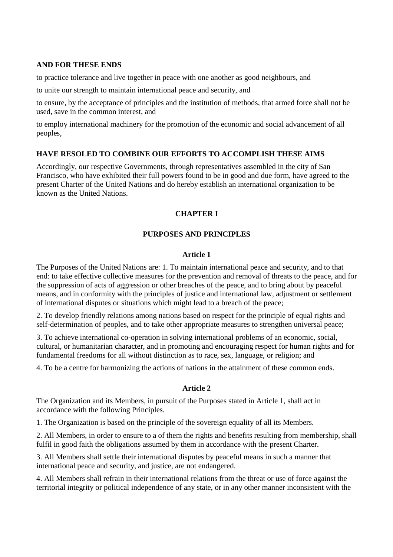# **AND FOR THESE ENDS**

to practice tolerance and live together in peace with one another as good neighbours, and

to unite our strength to maintain international peace and security, and

to ensure, by the acceptance of principles and the institution of methods, that armed force shall not be used, save in the common interest, and

to employ international machinery for the promotion of the economic and social advancement of all peoples,

# **HAVE RESOLED TO COMBINE OUR EFFORTS TO ACCOMPLISH THESE AIMS**

Accordingly, our respective Governments, through representatives assembled in the city of San Francisco, who have exhibited their full powers found to be in good and due form, have agreed to the present Charter of the United Nations and do hereby establish an international organization to be known as the United Nations.

# **CHAPTER I**

# **PURPOSES AND PRINCIPLES**

# **Article 1**

The Purposes of the United Nations are: 1. To maintain international peace and security, and to that end: to take effective collective measures for the prevention and removal of threats to the peace, and for the suppression of acts of aggression or other breaches of the peace, and to bring about by peaceful means, and in conformity with the principles of justice and international law, adjustment or settlement of international disputes or situations which might lead to a breach of the peace;

2. To develop friendly relations among nations based on respect for the principle of equal rights and self-determination of peoples, and to take other appropriate measures to strengthen universal peace;

3. To achieve international co-operation in solving international problems of an economic, social, cultural, or humanitarian character, and in promoting and encouraging respect for human rights and for fundamental freedoms for all without distinction as to race, sex, language, or religion; and

4. To be a centre for harmonizing the actions of nations in the attainment of these common ends.

# **Article 2**

The Organization and its Members, in pursuit of the Purposes stated in Article 1, shall act in accordance with the following Principles.

1. The Organization is based on the principle of the sovereign equality of all its Members.

2. All Members, in order to ensure to a of them the rights and benefits resulting from membership, shall fulfil in good faith the obligations assumed by them in accordance with the present Charter.

3. All Members shall settle their international disputes by peaceful means in such a manner that international peace and security, and justice, are not endangered.

4. All Members shall refrain in their international relations from the threat or use of force against the territorial integrity or political independence of any state, or in any other manner inconsistent with the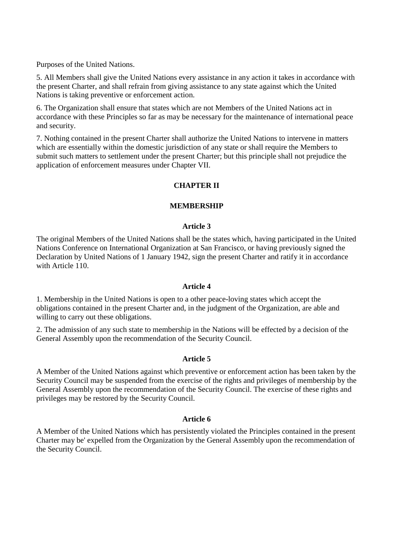Purposes of the United Nations.

5. All Members shall give the United Nations every assistance in any action it takes in accordance with the present Charter, and shall refrain from giving assistance to any state against which the United Nations is taking preventive or enforcement action.

6. The Organization shall ensure that states which are not Members of the United Nations act in accordance with these Principles so far as may be necessary for the maintenance of international peace and security.

7. Nothing contained in the present Charter shall authorize the United Nations to intervene in matters which are essentially within the domestic jurisdiction of any state or shall require the Members to submit such matters to settlement under the present Charter; but this principle shall not prejudice the application of enforcement measures under Chapter VII.

# **CHAPTER II**

## **MEMBERSHIP**

## **Article 3**

The original Members of the United Nations shall be the states which, having participated in the United Nations Conference on International Organization at San Francisco, or having previously signed the Declaration by United Nations of 1 January 1942, sign the present Charter and ratify it in accordance with Article 110.

# **Article 4**

1. Membership in the United Nations is open to a other peace-loving states which accept the obligations contained in the present Charter and, in the judgment of the Organization, are able and willing to carry out these obligations.

2. The admission of any such state to membership in the Nations will be effected by a decision of the General Assembly upon the recommendation of the Security Council.

# **Article 5**

A Member of the United Nations against which preventive or enforcement action has been taken by the Security Council may be suspended from the exercise of the rights and privileges of membership by the General Assembly upon the recommendation of the Security Council. The exercise of these rights and privileges may be restored by the Security Council.

## **Article 6**

A Member of the United Nations which has persistently violated the Principles contained in the present Charter may be' expelled from the Organization by the General Assembly upon the recommendation of the Security Council.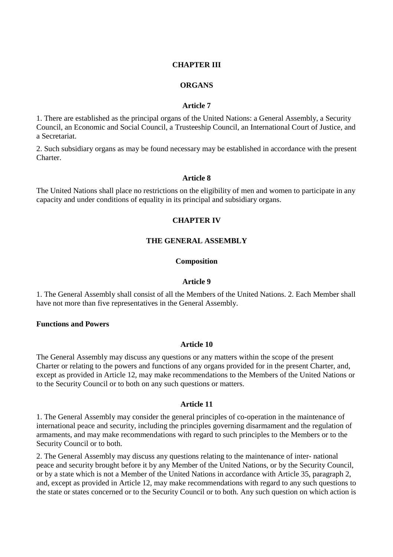#### **CHAPTER III**

## **ORGANS**

## **Article 7**

1. There are established as the principal organs of the United Nations: a General Assembly, a Security Council, an Economic and Social Council, a Trusteeship Council, an International Court of Justice, and a Secretariat.

2. Such subsidiary organs as may be found necessary may be established in accordance with the present Charter.

#### **Article 8**

The United Nations shall place no restrictions on the eligibility of men and women to participate in any capacity and under conditions of equality in its principal and subsidiary organs.

#### **CHAPTER IV**

## **THE GENERAL ASSEMBLY**

#### **Composition**

#### **Article 9**

1. The General Assembly shall consist of all the Members of the United Nations. 2. Each Member shall have not more than five representatives in the General Assembly.

## **Functions and Powers**

#### **Article 10**

The General Assembly may discuss any questions or any matters within the scope of the present Charter or relating to the powers and functions of any organs provided for in the present Charter, and, except as provided in Article 12, may make recommendations to the Members of the United Nations or to the Security Council or to both on any such questions or matters.

## **Article 11**

1. The General Assembly may consider the general principles of co-operation in the maintenance of international peace and security, including the principles governing disarmament and the regulation of armaments, and may make recommendations with regard to such principles to the Members or to the Security Council or to both.

2. The General Assembly may discuss any questions relating to the maintenance of inter- national peace and security brought before it by any Member of the United Nations, or by the Security Council, or by a state which is not a Member of the United Nations in accordance with Article 35, paragraph 2, and, except as provided in Article 12, may make recommendations with regard to any such questions to the state or states concerned or to the Security Council or to both. Any such question on which action is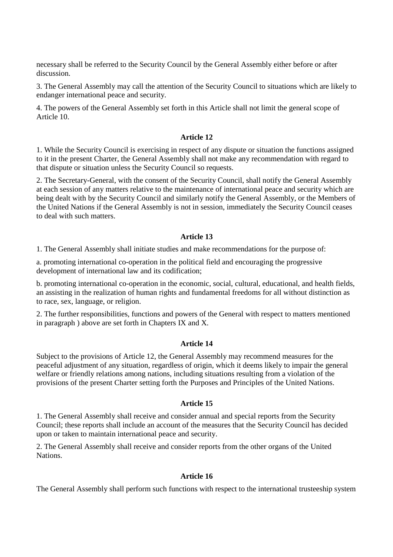necessary shall be referred to the Security Council by the General Assembly either before or after discussion.

3. The General Assembly may call the attention of the Security Council to situations which are likely to endanger international peace and security.

4. The powers of the General Assembly set forth in this Article shall not limit the general scope of Article 10.

## **Article 12**

1. While the Security Council is exercising in respect of any dispute or situation the functions assigned to it in the present Charter, the General Assembly shall not make any recommendation with regard to that dispute or situation unless the Security Council so requests.

2. The Secretary-General, with the consent of the Security Council, shall notify the General Assembly at each session of any matters relative to the maintenance of international peace and security which are being dealt with by the Security Council and similarly notify the General Assembly, or the Members of the United Nations if the General Assembly is not in session, immediately the Security Council ceases to deal with such matters.

## **Article 13**

1. The General Assembly shall initiate studies and make recommendations for the purpose of:

a. promoting international co-operation in the political field and encouraging the progressive development of international law and its codification;

b. promoting international co-operation in the economic, social, cultural, educational, and health fields, an assisting in the realization of human rights and fundamental freedoms for all without distinction as to race, sex, language, or religion.

2. The further responsibilities, functions and powers of the General with respect to matters mentioned in paragraph ) above are set forth in Chapters IX and X.

## **Article 14**

Subject to the provisions of Article 12, the General Assembly may recommend measures for the peaceful adjustment of any situation, regardless of origin, which it deems likely to impair the general welfare or friendly relations among nations, including situations resulting from a violation of the provisions of the present Charter setting forth the Purposes and Principles of the United Nations.

## **Article 15**

1. The General Assembly shall receive and consider annual and special reports from the Security Council; these reports shall include an account of the measures that the Security Council has decided upon or taken to maintain international peace and security.

2. The General Assembly shall receive and consider reports from the other organs of the United Nations.

## **Article 16**

The General Assembly shall perform such functions with respect to the international trusteeship system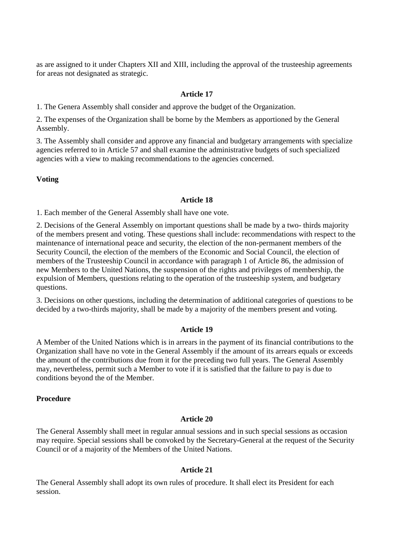as are assigned to it under Chapters XII and XIII, including the approval of the trusteeship agreements for areas not designated as strategic.

## **Article 17**

1. The Genera Assembly shall consider and approve the budget of the Organization.

2. The expenses of the Organization shall be borne by the Members as apportioned by the General Assembly.

3. The Assembly shall consider and approve any financial and budgetary arrangements with specialize agencies referred to in Article 57 and shall examine the administrative budgets of such specialized agencies with a view to making recommendations to the agencies concerned.

## **Voting**

## **Article 18**

1. Each member of the General Assembly shall have one vote.

2. Decisions of the General Assembly on important questions shall be made by a two- thirds majority of the members present and voting. These questions shall include: recommendations with respect to the maintenance of international peace and security, the election of the non-permanent members of the Security Council, the election of the members of the Economic and Social Council, the election of members of the Trusteeship Council in accordance with paragraph 1 of Article 86, the admission of new Members to the United Nations, the suspension of the rights and privileges of membership, the expulsion of Members, questions relating to the operation of the trusteeship system, and budgetary questions.

3. Decisions on other questions, including the determination of additional categories of questions to be decided by a two-thirds majority, shall be made by a majority of the members present and voting.

## **Article 19**

A Member of the United Nations which is in arrears in the payment of its financial contributions to the Organization shall have no vote in the General Assembly if the amount of its arrears equals or exceeds the amount of the contributions due from it for the preceding two full years. The General Assembly may, nevertheless, permit such a Member to vote if it is satisfied that the failure to pay is due to conditions beyond the of the Member.

## **Procedure**

## **Article 20**

The General Assembly shall meet in regular annual sessions and in such special sessions as occasion may require. Special sessions shall be convoked by the Secretary-General at the request of the Security Council or of a majority of the Members of the United Nations.

## **Article 21**

The General Assembly shall adopt its own rules of procedure. It shall elect its President for each session.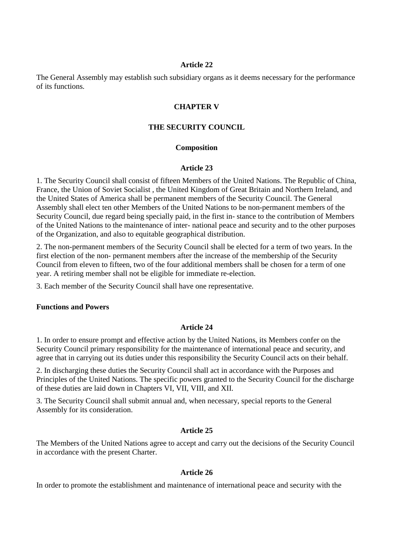The General Assembly may establish such subsidiary organs as it deems necessary for the performance of its functions.

# **CHAPTER V**

# **THE SECURITY COUNCIL**

## **Composition**

#### **Article 23**

1. The Security Council shall consist of fifteen Members of the United Nations. The Republic of China, France, the Union of Soviet Socialist , the United Kingdom of Great Britain and Northern Ireland, and the United States of America shall be permanent members of the Security Council. The General Assembly shall elect ten other Members of the United Nations to be non-permanent members of the Security Council, due regard being specially paid, in the first in- stance to the contribution of Members of the United Nations to the maintenance of inter- national peace and security and to the other purposes of the Organization, and also to equitable geographical distribution.

2. The non-permanent members of the Security Council shall be elected for a term of two years. In the first election of the non- permanent members after the increase of the membership of the Security Council from eleven to fifteen, two of the four additional members shall be chosen for a term of one year. A retiring member shall not be eligible for immediate re-election.

3. Each member of the Security Council shall have one representative.

#### **Functions and Powers**

## **Article 24**

1. In order to ensure prompt and effective action by the United Nations, its Members confer on the Security Council primary responsibility for the maintenance of international peace and security, and agree that in carrying out its duties under this responsibility the Security Council acts on their behalf.

2. In discharging these duties the Security Council shall act in accordance with the Purposes and Principles of the United Nations. The specific powers granted to the Security Council for the discharge of these duties are laid down in Chapters VI, VII, VIII, and XII.

3. The Security Council shall submit annual and, when necessary, special reports to the General Assembly for its consideration.

#### **Article 25**

The Members of the United Nations agree to accept and carry out the decisions of the Security Council in accordance with the present Charter.

#### **Article 26**

In order to promote the establishment and maintenance of international peace and security with the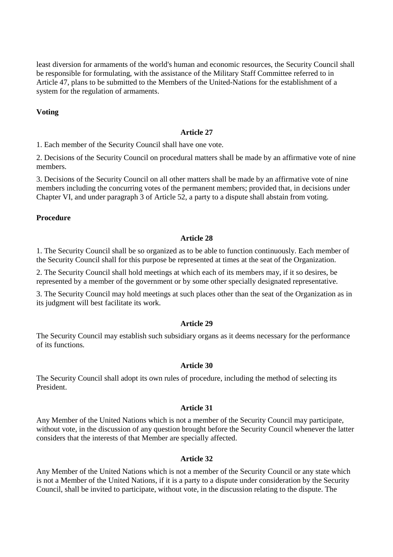least diversion for armaments of the world's human and economic resources, the Security Council shall be responsible for formulating, with the assistance of the Military Staff Committee referred to in Article 47, plans to be submitted to the Members of the United-Nations for the establishment of a system for the regulation of armaments.

# **Voting**

# **Article 27**

1. Each member of the Security Council shall have one vote.

2. Decisions of the Security Council on procedural matters shall be made by an affirmative vote of nine members.

3. Decisions of the Security Council on all other matters shall be made by an affirmative vote of nine members including the concurring votes of the permanent members; provided that, in decisions under Chapter VI, and under paragraph 3 of Article 52, a party to a dispute shall abstain from voting.

# **Procedure**

## **Article 28**

1. The Security Council shall be so organized as to be able to function continuously. Each member of the Security Council shall for this purpose be represented at times at the seat of the Organization.

2. The Security Council shall hold meetings at which each of its members may, if it so desires, be represented by a member of the government or by some other specially designated representative.

3. The Security Council may hold meetings at such places other than the seat of the Organization as in its judgment will best facilitate its work.

## **Article 29**

The Security Council may establish such subsidiary organs as it deems necessary for the performance of its functions.

# **Article 30**

The Security Council shall adopt its own rules of procedure, including the method of selecting its President.

## **Article 31**

Any Member of the United Nations which is not a member of the Security Council may participate, without vote, in the discussion of any question brought before the Security Council whenever the latter considers that the interests of that Member are specially affected.

# **Article 32**

Any Member of the United Nations which is not a member of the Security Council or any state which is not a Member of the United Nations, if it is a party to a dispute under consideration by the Security Council, shall be invited to participate, without vote, in the discussion relating to the dispute. The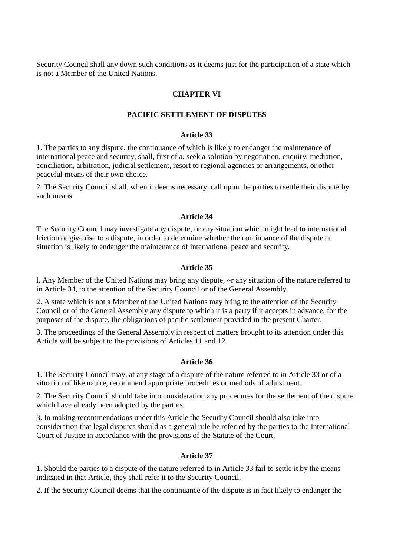Security Council shall any down such conditions as it deems just for the participation of a state which is not a Member of the United Nations.

## **CHAPTER VI**

## **PACIFIC SETTLEMENT OF DISPUTES**

## **Article 33**

1. The parties to any dispute, the continuance of which is likely to endanger the maintenance of international peace and security, shall, first of a, seek a solution by negotiation, enquiry, mediation, conciliation, arbitration, judicial settlement, resort to regional agencies or arrangements, or other peaceful means of their own choice.

2. The Security Council shall, when it deems necessary, call upon the parties to settle their dispute by such means.

#### **Article 34**

The Security Council may investigate any dispute, or any situation which might lead to international friction or give rise to a dispute, in order to determine whether the continuance of the dispute or situation is likely to endanger the maintenance of international peace and security.

#### **Article 35**

l. Any Member of the United Nations may bring any dispute, ~r any situation of the nature referred to in Article 34, to the attention of the Security Council or of the General Assembly.

2. A state which is not a Member of the United Nations may bring to the attention of the Security Council or of the General Assembly any dispute to which it is a party if it accepts in advance, for the purposes of the dispute, the obligations of pacific settlement provided in the present Charter.

3. The proceedings of the General Assembly in respect of matters brought to its attention under this Article will be subject to the provisions of Articles 11 and 12.

#### **Article 36**

1. The Security Council may, at any stage of a dispute of the nature referred to in Article 33 or of a situation of like nature, recommend appropriate procedures or methods of adjustment.

2. The Security Council should take into consideration any procedures for the settlement of the dispute which have already been adopted by the parties.

3. In making recommendations under this Article the Security Council should also take into consideration that legal disputes should as a general rule be referred by the parties to the International Court of Justice in accordance with the provisions of the Statute of the Court.

#### **Article 37**

1. Should the parties to a dispute of the nature referred to in Article 33 fail to settle it by the means indicated in that Article, they shall refer it to the Security Council.

2. If the Security Council deems that the continuance of the dispute is in fact likely to endanger the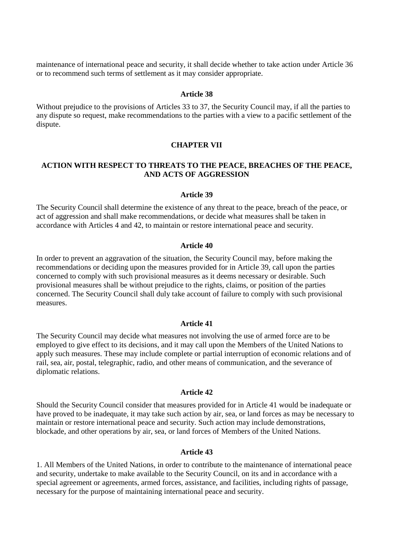maintenance of international peace and security, it shall decide whether to take action under Article 36 or to recommend such terms of settlement as it may consider appropriate.

#### **Article 38**

Without prejudice to the provisions of Articles 33 to 37, the Security Council may, if all the parties to any dispute so request, make recommendations to the parties with a view to a pacific settlement of the dispute.

## **CHAPTER VII**

# **ACTION WITH RESPECT TO THREATS TO THE PEACE, BREACHES OF THE PEACE, AND ACTS OF AGGRESSION**

#### **Article 39**

The Security Council shall determine the existence of any threat to the peace, breach of the peace, or act of aggression and shall make recommendations, or decide what measures shall be taken in accordance with Articles 4 and 42, to maintain or restore international peace and security.

#### **Article 40**

In order to prevent an aggravation of the situation, the Security Council may, before making the recommendations or deciding upon the measures provided for in Article 39, call upon the parties concerned to comply with such provisional measures as it deems necessary or desirable. Such provisional measures shall be without prejudice to the rights, claims, or position of the parties concerned. The Security Council shall duly take account of failure to comply with such provisional measures.

#### **Article 41**

The Security Council may decide what measures not involving the use of armed force are to be employed to give effect to its decisions, and it may call upon the Members of the United Nations to apply such measures. These may include complete or partial interruption of economic relations and of rail, sea, air, postal, telegraphic, radio, and other means of communication, and the severance of diplomatic relations.

#### **Article 42**

Should the Security Council consider that measures provided for in Article 41 would be inadequate or have proved to be inadequate, it may take such action by air, sea, or land forces as may be necessary to maintain or restore international peace and security. Such action may include demonstrations, blockade, and other operations by air, sea, or land forces of Members of the United Nations.

#### **Article 43**

1. All Members of the United Nations, in order to contribute to the maintenance of international peace and security, undertake to make available to the Security Council, on its and in accordance with a special agreement or agreements, armed forces, assistance, and facilities, including rights of passage, necessary for the purpose of maintaining international peace and security.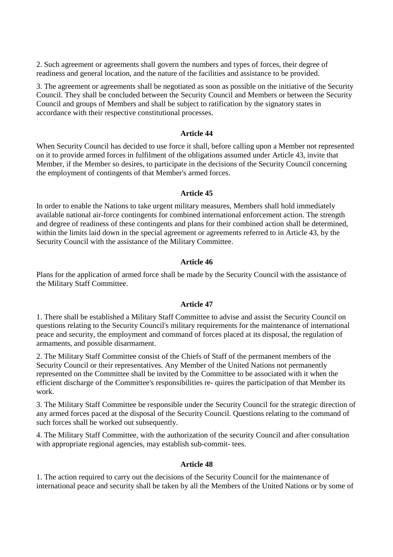2. Such agreement or agreements shall govern the numbers and types of forces, their degree of readiness and general location, and the nature of the facilities and assistance to be provided.

3. The agreement or agreements shall be negotiated as soon as possible on the initiative of the Security Council. They shall be concluded between the Security Council and Members or between the Security Council and groups of Members and shall be subject to ratification by the signatory states in accordance with their respective constitutional processes.

## **Article 44**

When Security Council has decided to use force it shall, before calling upon a Member not represented on it to provide armed forces in fulfilment of the obligations assumed under Article 43, invite that Member, if the Member so desires, to participate in the decisions of the Security Council concerning the employment of contingents of that Member's armed forces.

#### **Article 45**

In order to enable the Nations to take urgent military measures, Members shall hold immediately available national air-force contingents for combined international enforcement action. The strength and degree of readiness of these contingents and plans for their combined action shall be determined, within the limits laid down in the special agreement or agreements referred to in Article 43, by the Security Council with the assistance of the Military Committee.

## **Article 46**

Plans for the application of armed force shall be made by the Security Council with the assistance of the Military Staff Committee.

## **Article 47**

1. There shall be established a Military Staff Committee to advise and assist the Security Council on questions relating to the Security Council's military requirements for the maintenance of international peace and security, the employment and command of forces placed at its disposal, the regulation of armaments, and possible disarmament.

2. The Military Staff Committee consist of the Chiefs of Staff of the permanent members of the Security Council or their representatives. Any Member of the United Nations not permanently represented on the Committee shall be invited by the Committee to be associated with it when the efficient discharge of the Committee's responsibilities re- quires the participation of that Member its work.

3. The Military Staff Committee be responsible under the Security Council for the strategic direction of any armed forces paced at the disposal of the Security Council. Questions relating to the command of such forces shall be worked out subsequently.

4. The Military Staff Committee, with the authorization of the security Council and after consultation with appropriate regional agencies, may establish sub-commit- tees.

#### **Article 48**

1. The action required to carry out the decisions of the Security Council for the maintenance of international peace and security shall be taken by all the Members of the United Nations or by some of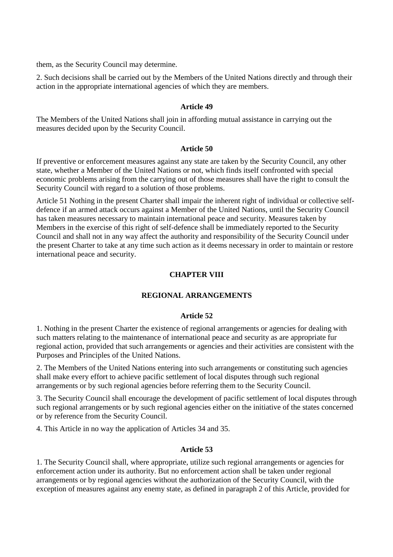them, as the Security Council may determine.

2. Such decisions shall be carried out by the Members of the United Nations directly and through their action in the appropriate international agencies of which they are members.

## **Article 49**

The Members of the United Nations shall join in affording mutual assistance in carrying out the measures decided upon by the Security Council.

## **Article 50**

If preventive or enforcement measures against any state are taken by the Security Council, any other state, whether a Member of the United Nations or not, which finds itself confronted with special economic problems arising from the carrying out of those measures shall have the right to consult the Security Council with regard to a solution of those problems.

Article 51 Nothing in the present Charter shall impair the inherent right of individual or collective selfdefence if an armed attack occurs against a Member of the United Nations, until the Security Council has taken measures necessary to maintain international peace and security. Measures taken by Members in the exercise of this right of self-defence shall be immediately reported to the Security Council and shall not in any way affect the authority and responsibility of the Security Council under the present Charter to take at any time such action as it deems necessary in order to maintain or restore international peace and security.

# **CHAPTER VIII**

# **REGIONAL ARRANGEMENTS**

# **Article 52**

1. Nothing in the present Charter the existence of regional arrangements or agencies for dealing with such matters relating to the maintenance of international peace and security as are appropriate fur regional action, provided that such arrangements or agencies and their activities are consistent with the Purposes and Principles of the United Nations.

2. The Members of the United Nations entering into such arrangements or constituting such agencies shall make every effort to achieve pacific settlement of local disputes through such regional arrangements or by such regional agencies before referring them to the Security Council.

3. The Security Council shall encourage the development of pacific settlement of local disputes through such regional arrangements or by such regional agencies either on the initiative of the states concerned or by reference from the Security Council.

4. This Article in no way the application of Articles 34 and 35.

# **Article 53**

1. The Security Council shall, where appropriate, utilize such regional arrangements or agencies for enforcement action under its authority. But no enforcement action shall be taken under regional arrangements or by regional agencies without the authorization of the Security Council, with the exception of measures against any enemy state, as defined in paragraph 2 of this Article, provided for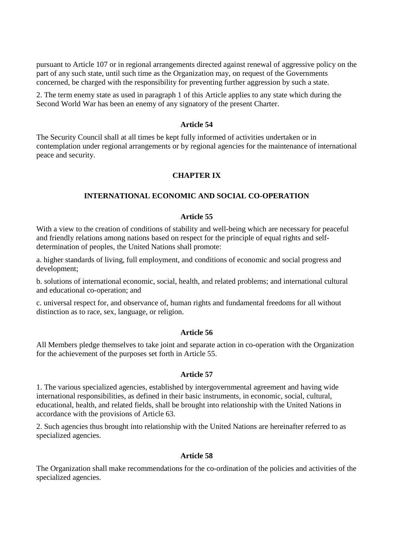pursuant to Article 107 or in regional arrangements directed against renewal of aggressive policy on the part of any such state, until such time as the Organization may, on request of the Governments concerned, be charged with the responsibility for preventing further aggression by such a state.

2. The term enemy state as used in paragraph 1 of this Article applies to any state which during the Second World War has been an enemy of any signatory of the present Charter.

#### **Article 54**

The Security Council shall at all times be kept fully informed of activities undertaken or in contemplation under regional arrangements or by regional agencies for the maintenance of international peace and security.

## **CHAPTER IX**

# **INTERNATIONAL ECONOMIC AND SOCIAL CO-OPERATION**

## **Article 55**

With a view to the creation of conditions of stability and well-being which are necessary for peaceful and friendly relations among nations based on respect for the principle of equal rights and selfdetermination of peoples, the United Nations shall promote:

a. higher standards of living, full employment, and conditions of economic and social progress and development;

b. solutions of international economic, social, health, and related problems; and international cultural and educational co-operation; and

c. universal respect for, and observance of, human rights and fundamental freedoms for all without distinction as to race, sex, language, or religion.

#### **Article 56**

All Members pledge themselves to take joint and separate action in co-operation with the Organization for the achievement of the purposes set forth in Article 55.

#### **Article 57**

1. The various specialized agencies, established by intergovernmental agreement and having wide international responsibilities, as defined in their basic instruments, in economic, social, cultural, educational, health, and related fields, shall be brought into relationship with the United Nations in accordance with the provisions of Article 63.

2. Such agencies thus brought into relationship with the United Nations are hereinafter referred to as specialized agencies.

#### **Article 58**

The Organization shall make recommendations for the co-ordination of the policies and activities of the specialized agencies.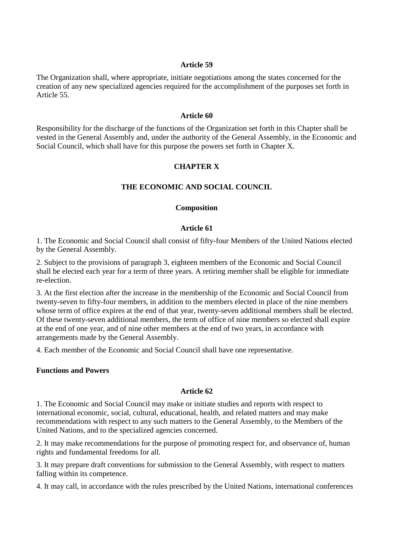The Organization shall, where appropriate, initiate negotiations among the states concerned for the creation of any new specialized agencies required for the accomplishment of the purposes set forth in Article 55.

## **Article 60**

Responsibility for the discharge of the functions of the Organization set forth in this Chapter shall be vested in the General Assembly and, under the authority of the General Assembly, in the Economic and Social Council, which shall have for this purpose the powers set forth in Chapter X.

# **CHAPTER X**

# **THE ECONOMIC AND SOCIAL COUNCIL**

## **Composition**

## **Article 61**

1. The Economic and Social Council shall consist of fifty-four Members of the United Nations elected by the General Assembly.

2. Subject to the provisions of paragraph 3, eighteen members of the Economic and Social Council shall be elected each year for a term of three years. A retiring member shall be eligible for immediate re-election.

3. At the first election after the increase in the membership of the Economic and Social Council from twenty-seven to fifty-four members, in addition to the members elected in place of the nine members whose term of office expires at the end of that year, twenty-seven additional members shall be elected. Of these twenty-seven additional members, the term of office of nine members so elected shall expire at the end of one year, and of nine other members at the end of two years, in accordance with arrangements made by the General Assembly.

4. Each member of the Economic and Social Council shall have one representative.

# **Functions and Powers**

## **Article 62**

1. The Economic and Social Council may make or initiate studies and reports with respect to international economic, social, cultural, educational, health, and related matters and may make recommendations with respect to any such matters to the General Assembly, to the Members of the United Nations, and to the specialized agencies concerned.

2. It may make recommendations for the purpose of promoting respect for, and observance of, human rights and fundamental freedoms for all.

3. It may prepare draft conventions for submission to the General Assembly, with respect to matters falling within its competence.

4. It may call, in accordance with the rules prescribed by the United Nations, international conferences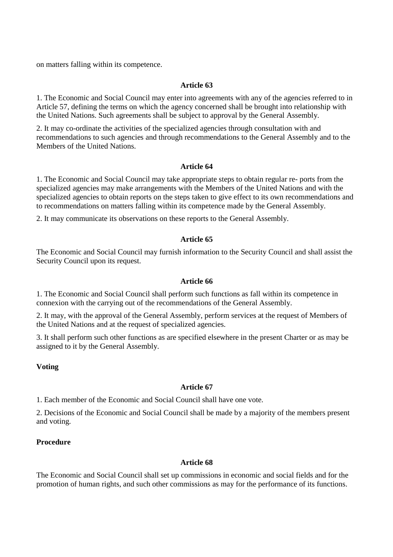on matters falling within its competence.

## **Article 63**

1. The Economic and Social Council may enter into agreements with any of the agencies referred to in Article 57, defining the terms on which the agency concerned shall be brought into relationship with the United Nations. Such agreements shall be subject to approval by the General Assembly.

2. It may co-ordinate the activities of the specialized agencies through consultation with and recommendations to such agencies and through recommendations to the General Assembly and to the Members of the United Nations.

## **Article 64**

1. The Economic and Social Council may take appropriate steps to obtain regular re- ports from the specialized agencies may make arrangements with the Members of the United Nations and with the specialized agencies to obtain reports on the steps taken to give effect to its own recommendations and to recommendations on matters falling within its competence made by the General Assembly.

2. It may communicate its observations on these reports to the General Assembly.

## **Article 65**

The Economic and Social Council may furnish information to the Security Council and shall assist the Security Council upon its request.

## **Article 66**

1. The Economic and Social Council shall perform such functions as fall within its competence in connexion with the carrying out of the recommendations of the General Assembly.

2. It may, with the approval of the General Assembly, perform services at the request of Members of the United Nations and at the request of specialized agencies.

3. It shall perform such other functions as are specified elsewhere in the present Charter or as may be assigned to it by the General Assembly.

## **Voting**

# **Article 67**

1. Each member of the Economic and Social Council shall have one vote.

2. Decisions of the Economic and Social Council shall be made by a majority of the members present and voting.

# **Procedure**

# **Article 68**

The Economic and Social Council shall set up commissions in economic and social fields and for the promotion of human rights, and such other commissions as may for the performance of its functions.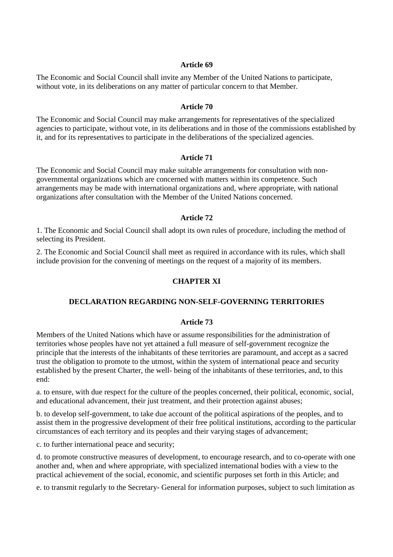The Economic and Social Council shall invite any Member of the United Nations to participate, without vote, in its deliberations on any matter of particular concern to that Member.

## **Article 70**

The Economic and Social Council may make arrangements for representatives of the specialized agencies to participate, without vote, in its deliberations and in those of the commissions established by it, and for its representatives to participate in the deliberations of the specialized agencies.

## **Article 71**

The Economic and Social Council may make suitable arrangements for consultation with nongovernmental organizations which are concerned with matters within its competence. Such arrangements may be made with international organizations and, where appropriate, with national organizations after consultation with the Member of the United Nations concerned.

## **Article 72**

1. The Economic and Social Council shall adopt its own rules of procedure, including the method of selecting its President.

2. The Economic and Social Council shall meet as required in accordance with its rules, which shall include provision for the convening of meetings on the request of a majority of its members.

## **CHAPTER XI**

# **DECLARATION REGARDING NON-SELF-GOVERNING TERRITORIES**

## **Article 73**

Members of the United Nations which have or assume responsibilities for the administration of territories whose peoples have not yet attained a full measure of self-government recognize the principle that the interests of the inhabitants of these territories are paramount, and accept as a sacred trust the obligation to promote to the utmost, within the system of international peace and security established by the present Charter, the well- being of the inhabitants of these territories, and, to this end:

a. to ensure, with due respect for the culture of the peoples concerned, their political, economic, social, and educational advancement, their just treatment, and their protection against abuses;

b. to develop self-government, to take due account of the political aspirations of the peoples, and to assist them in the progressive development of their free political institutions, according to the particular circumstances of each territory and its peoples and their varying stages of advancement;

c. to further international peace and security;

d. to promote constructive measures of development, to encourage research, and to co-operate with one another and, when and where appropriate, with specialized international bodies with a view to the practical achievement of the social, economic, and scientific purposes set forth in this Article; and

e. to transmit regularly to the Secretary- General for information purposes, subject to such limitation as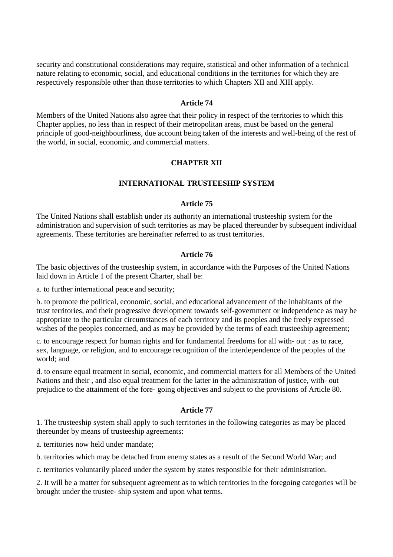security and constitutional considerations may require, statistical and other information of a technical nature relating to economic, social, and educational conditions in the territories for which they are respectively responsible other than those territories to which Chapters XII and XIII apply.

## **Article 74**

Members of the United Nations also agree that their policy in respect of the territories to which this Chapter applies, no less than in respect of their metropolitan areas, must be based on the general principle of good-neighbourliness, due account being taken of the interests and well-being of the rest of the world, in social, economic, and commercial matters.

# **CHAPTER XII**

#### **INTERNATIONAL TRUSTEESHIP SYSTEM**

#### **Article 75**

The United Nations shall establish under its authority an international trusteeship system for the administration and supervision of such territories as may be placed thereunder by subsequent individual agreements. These territories are hereinafter referred to as trust territories.

#### **Article 76**

The basic objectives of the trusteeship system, in accordance with the Purposes of the United Nations laid down in Article 1 of the present Charter, shall be:

a. to further international peace and security;

b. to promote the political, economic, social, and educational advancement of the inhabitants of the trust territories, and their progressive development towards self-government or independence as may be appropriate to the particular circumstances of each territory and its peoples and the freely expressed wishes of the peoples concerned, and as may be provided by the terms of each trusteeship agreement;

c. to encourage respect for human rights and for fundamental freedoms for all with- out : as to race, sex, language, or religion, and to encourage recognition of the interdependence of the peoples of the world; and

d. to ensure equal treatment in social, economic, and commercial matters for all Members of the United Nations and their , and also equal treatment for the latter in the administration of justice, with- out prejudice to the attainment of the fore- going objectives and subject to the provisions of Article 80.

## **Article 77**

1. The trusteeship system shall apply to such territories in the following categories as may be placed thereunder by means of trusteeship agreements:

a. territories now held under mandate;

b. territories which may be detached from enemy states as a result of the Second World War; and

c. territories voluntarily placed under the system by states responsible for their administration.

2. It will be a matter for subsequent agreement as to which territories in the foregoing categories will be brought under the trustee- ship system and upon what terms.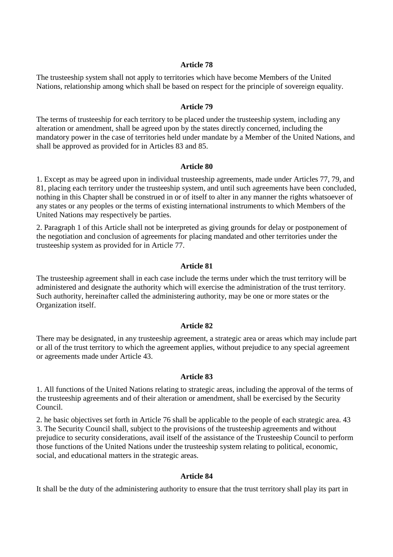The trusteeship system shall not apply to territories which have become Members of the United Nations, relationship among which shall be based on respect for the principle of sovereign equality.

## **Article 79**

The terms of trusteeship for each territory to be placed under the trusteeship system, including any alteration or amendment, shall be agreed upon by the states directly concerned, including the mandatory power in the case of territories held under mandate by a Member of the United Nations, and shall be approved as provided for in Articles 83 and 85.

## **Article 80**

1. Except as may be agreed upon in individual trusteeship agreements, made under Articles 77, 79, and 81, placing each territory under the trusteeship system, and until such agreements have been concluded, nothing in this Chapter shall be construed in or of itself to alter in any manner the rights whatsoever of any states or any peoples or the terms of existing international instruments to which Members of the United Nations may respectively be parties.

2. Paragraph 1 of this Article shall not be interpreted as giving grounds for delay or postponement of the negotiation and conclusion of agreements for placing mandated and other territories under the trusteeship system as provided for in Article 77.

## **Article 81**

The trusteeship agreement shall in each case include the terms under which the trust territory will be administered and designate the authority which will exercise the administration of the trust territory. Such authority, hereinafter called the administering authority, may be one or more states or the Organization itself.

## **Article 82**

There may be designated, in any trusteeship agreement, a strategic area or areas which may include part or all of the trust territory to which the agreement applies, without prejudice to any special agreement or agreements made under Article 43.

## **Article 83**

1. All functions of the United Nations relating to strategic areas, including the approval of the terms of the trusteeship agreements and of their alteration or amendment, shall be exercised by the Security Council.

2. he basic objectives set forth in Article 76 shall be applicable to the people of each strategic area. 43 3. The Security Council shall, subject to the provisions of the trusteeship agreements and without prejudice to security considerations, avail itself of the assistance of the Trusteeship Council to perform those functions of the United Nations under the trusteeship system relating to political, economic, social, and educational matters in the strategic areas.

## **Article 84**

It shall be the duty of the administering authority to ensure that the trust territory shall play its part in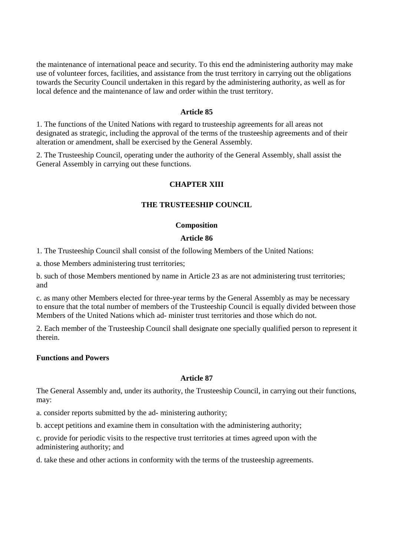the maintenance of international peace and security. To this end the administering authority may make use of volunteer forces, facilities, and assistance from the trust territory in carrying out the obligations towards the Security Council undertaken in this regard by the administering authority, as well as for local defence and the maintenance of law and order within the trust territory.

#### **Article 85**

1. The functions of the United Nations with regard to trusteeship agreements for all areas not designated as strategic, including the approval of the terms of the trusteeship agreements and of their alteration or amendment, shall be exercised by the General Assembly.

2. The Trusteeship Council, operating under the authority of the General Assembly, shall assist the General Assembly in carrying out these functions.

# **CHAPTER XIII**

#### **THE TRUSTEESHIP COUNCIL**

## **Composition**

## **Article 86**

1. The Trusteeship Council shall consist of the following Members of the United Nations:

a. those Members administering trust territories;

b. such of those Members mentioned by name in Article 23 as are not administering trust territories; and

c. as many other Members elected for three-year terms by the General Assembly as may be necessary to ensure that the total number of members of the Trusteeship Council is equally divided between those Members of the United Nations which ad- minister trust territories and those which do not.

2. Each member of the Trusteeship Council shall designate one specially qualified person to represent it therein.

## **Functions and Powers**

#### **Article 87**

The General Assembly and, under its authority, the Trusteeship Council, in carrying out their functions, may:

a. consider reports submitted by the ad- ministering authority;

b. accept petitions and examine them in consultation with the administering authority;

c. provide for periodic visits to the respective trust territories at times agreed upon with the administering authority; and

d. take these and other actions in conformity with the terms of the trusteeship agreements.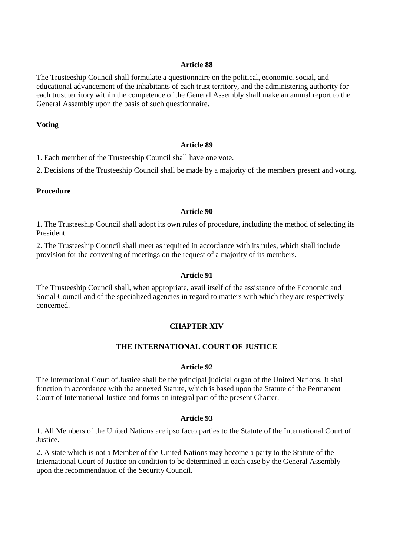The Trusteeship Council shall formulate a questionnaire on the political, economic, social, and educational advancement of the inhabitants of each trust territory, and the administering authority for each trust territory within the competence of the General Assembly shall make an annual report to the General Assembly upon the basis of such questionnaire.

#### **Voting**

#### **Article 89**

1. Each member of the Trusteeship Council shall have one vote.

2. Decisions of the Trusteeship Council shall be made by a majority of the members present and voting.

#### **Procedure**

#### **Article 90**

1. The Trusteeship Council shall adopt its own rules of procedure, including the method of selecting its President.

2. The Trusteeship Council shall meet as required in accordance with its rules, which shall include provision for the convening of meetings on the request of a majority of its members.

#### **Article 91**

The Trusteeship Council shall, when appropriate, avail itself of the assistance of the Economic and Social Council and of the specialized agencies in regard to matters with which they are respectively concerned.

## **CHAPTER XIV**

## **THE INTERNATIONAL COURT OF JUSTICE**

#### **Article 92**

The International Court of Justice shall be the principal judicial organ of the United Nations. It shall function in accordance with the annexed Statute, which is based upon the Statute of the Permanent Court of International Justice and forms an integral part of the present Charter.

## **Article 93**

1. All Members of the United Nations are ipso facto parties to the Statute of the International Court of Justice.

2. A state which is not a Member of the United Nations may become a party to the Statute of the International Court of Justice on condition to be determined in each case by the General Assembly upon the recommendation of the Security Council.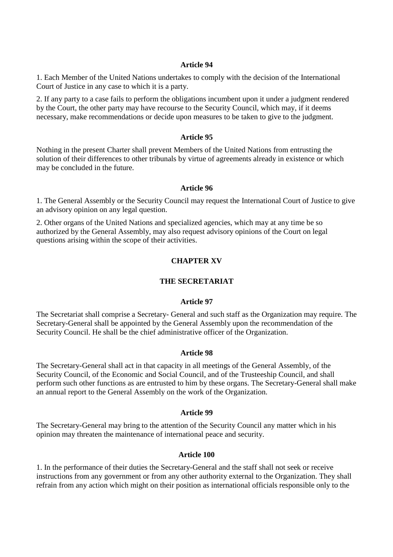1. Each Member of the United Nations undertakes to comply with the decision of the International Court of Justice in any case to which it is a party.

2. If any party to a case fails to perform the obligations incumbent upon it under a judgment rendered by the Court, the other party may have recourse to the Security Council, which may, if it deems necessary, make recommendations or decide upon measures to be taken to give to the judgment.

#### **Article 95**

Nothing in the present Charter shall prevent Members of the United Nations from entrusting the solution of their differences to other tribunals by virtue of agreements already in existence or which may be concluded in the future.

#### **Article 96**

1. The General Assembly or the Security Council may request the International Court of Justice to give an advisory opinion on any legal question.

2. Other organs of the United Nations and specialized agencies, which may at any time be so authorized by the General Assembly, may also request advisory opinions of the Court on legal questions arising within the scope of their activities.

# **CHAPTER XV**

# **THE SECRETARIAT**

## **Article 97**

The Secretariat shall comprise a Secretary- General and such staff as the Organization may require. The Secretary-General shall be appointed by the General Assembly upon the recommendation of the Security Council. He shall be the chief administrative officer of the Organization.

## **Article 98**

The Secretary-General shall act in that capacity in all meetings of the General Assembly, of the Security Council, of the Economic and Social Council, and of the Trusteeship Council, and shall perform such other functions as are entrusted to him by these organs. The Secretary-General shall make an annual report to the General Assembly on the work of the Organization.

#### **Article 99**

The Secretary-General may bring to the attention of the Security Council any matter which in his opinion may threaten the maintenance of international peace and security.

## **Article 100**

1. In the performance of their duties the Secretary-General and the staff shall not seek or receive instructions from any government or from any other authority external to the Organization. They shall refrain from any action which might on their position as international officials responsible only to the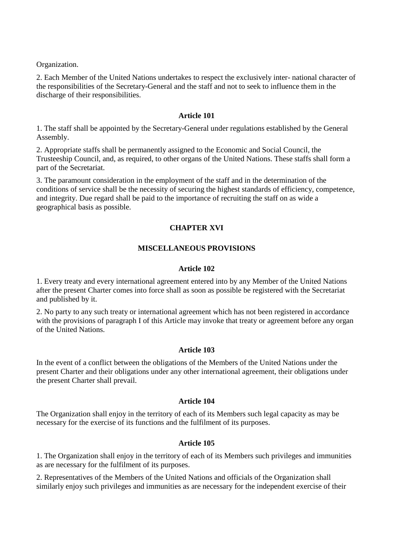Organization.

2. Each Member of the United Nations undertakes to respect the exclusively inter- national character of the responsibilities of the Secretary-General and the staff and not to seek to influence them in the discharge of their responsibilities.

# **Article 101**

1. The staff shall be appointed by the Secretary-General under regulations established by the General Assembly.

2. Appropriate staffs shall be permanently assigned to the Economic and Social Council, the Trusteeship Council, and, as required, to other organs of the United Nations. These staffs shall form a part of the Secretariat.

3. The paramount consideration in the employment of the staff and in the determination of the conditions of service shall be the necessity of securing the highest standards of efficiency, competence, and integrity. Due regard shall be paid to the importance of recruiting the staff on as wide a geographical basis as possible.

# **CHAPTER XVI**

# **MISCELLANEOUS PROVISIONS**

## **Article 102**

1. Every treaty and every international agreement entered into by any Member of the United Nations after the present Charter comes into force shall as soon as possible be registered with the Secretariat and published by it.

2. No party to any such treaty or international agreement which has not been registered in accordance with the provisions of paragraph I of this Article may invoke that treaty or agreement before any organ of the United Nations.

# **Article 103**

In the event of a conflict between the obligations of the Members of the United Nations under the present Charter and their obligations under any other international agreement, their obligations under the present Charter shall prevail.

# **Article 104**

The Organization shall enjoy in the territory of each of its Members such legal capacity as may be necessary for the exercise of its functions and the fulfilment of its purposes.

# **Article 105**

1. The Organization shall enjoy in the territory of each of its Members such privileges and immunities as are necessary for the fulfilment of its purposes.

2. Representatives of the Members of the United Nations and officials of the Organization shall similarly enjoy such privileges and immunities as are necessary for the independent exercise of their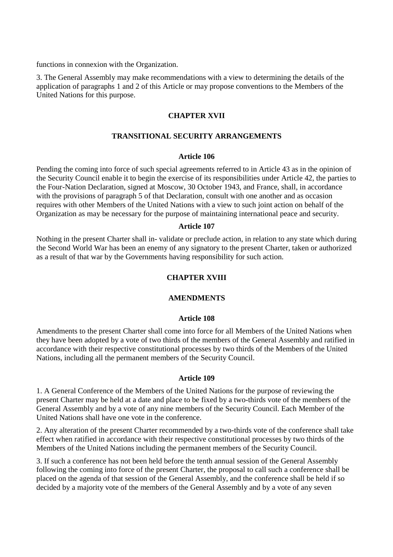functions in connexion with the Organization.

3. The General Assembly may make recommendations with a view to determining the details of the application of paragraphs 1 and 2 of this Article or may propose conventions to the Members of the United Nations for this purpose.

## **CHAPTER XVII**

# **TRANSITIONAL SECURITY ARRANGEMENTS**

## **Article 106**

Pending the coming into force of such special agreements referred to in Article 43 as in the opinion of the Security Council enable it to begin the exercise of its responsibilities under Article 42, the parties to the Four-Nation Declaration, signed at Moscow, 30 October 1943, and France, shall, in accordance with the provisions of paragraph 5 of that Declaration, consult with one another and as occasion requires with other Members of the United Nations with a view to such joint action on behalf of the Organization as may be necessary for the purpose of maintaining international peace and security.

#### **Article 107**

Nothing in the present Charter shall in- validate or preclude action, in relation to any state which during the Second World War has been an enemy of any signatory to the present Charter, taken or authorized as a result of that war by the Governments having responsibility for such action.

## **CHAPTER XVIII**

#### **AMENDMENTS**

#### **Article 108**

Amendments to the present Charter shall come into force for all Members of the United Nations when they have been adopted by a vote of two thirds of the members of the General Assembly and ratified in accordance with their respective constitutional processes by two thirds of the Members of the United Nations, including all the permanent members of the Security Council.

#### **Article 109**

1. A General Conference of the Members of the United Nations for the purpose of reviewing the present Charter may be held at a date and place to be fixed by a two-thirds vote of the members of the General Assembly and by a vote of any nine members of the Security Council. Each Member of the United Nations shall have one vote in the conference.

2. Any alteration of the present Charter recommended by a two-thirds vote of the conference shall take effect when ratified in accordance with their respective constitutional processes by two thirds of the Members of the United Nations including the permanent members of the Security Council.

3. If such a conference has not been held before the tenth annual session of the General Assembly following the coming into force of the present Charter, the proposal to call such a conference shall be placed on the agenda of that session of the General Assembly, and the conference shall be held if so decided by a majority vote of the members of the General Assembly and by a vote of any seven